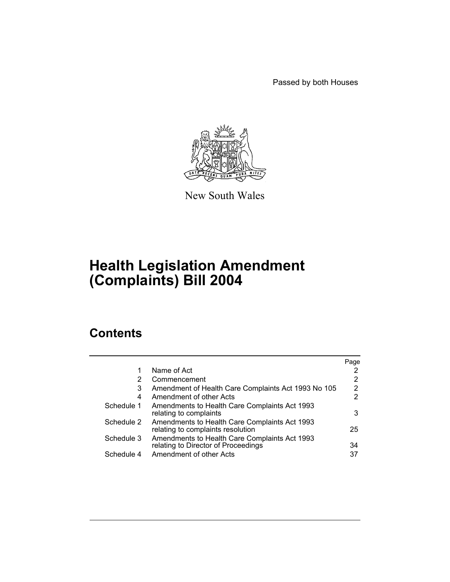Passed by both Houses



New South Wales

# **Health Legislation Amendment (Complaints) Bill 2004**

# **Contents**

|            |                                                                                      | Page |
|------------|--------------------------------------------------------------------------------------|------|
| 1          | Name of Act                                                                          |      |
| 2          | Commencement                                                                         | 2    |
| 3          | Amendment of Health Care Complaints Act 1993 No 105                                  | 2    |
| 4          | Amendment of other Acts                                                              | 2    |
| Schedule 1 | Amendments to Health Care Complaints Act 1993<br>relating to complaints              | 3    |
| Schedule 2 | Amendments to Health Care Complaints Act 1993<br>relating to complaints resolution   | 25   |
| Schedule 3 | Amendments to Health Care Complaints Act 1993<br>relating to Director of Proceedings | 34   |
| Schedule 4 | Amendment of other Acts                                                              | 37   |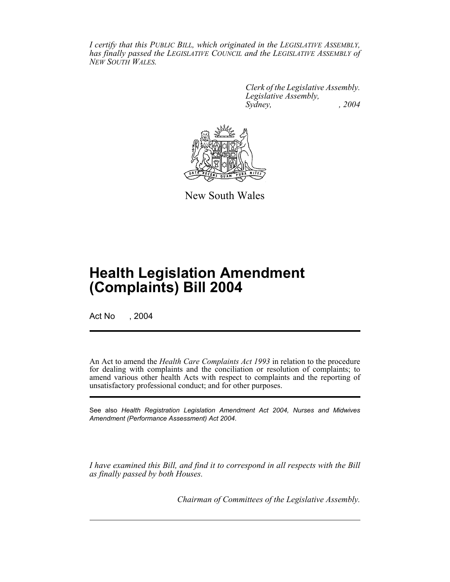*I certify that this PUBLIC BILL, which originated in the LEGISLATIVE ASSEMBLY, has finally passed the LEGISLATIVE COUNCIL and the LEGISLATIVE ASSEMBLY of NEW SOUTH WALES.*

> *Clerk of the Legislative Assembly. Legislative Assembly, Sydney, , 2004*



New South Wales

# **Health Legislation Amendment (Complaints) Bill 2004**

Act No , 2004

An Act to amend the *Health Care Complaints Act 1993* in relation to the procedure for dealing with complaints and the conciliation or resolution of complaints; to amend various other health Acts with respect to complaints and the reporting of unsatisfactory professional conduct; and for other purposes.

See also *Health Registration Legislation Amendment Act 2004, Nurses and Midwives Amendment (Performance Assessment) Act 2004*.

*I have examined this Bill, and find it to correspond in all respects with the Bill as finally passed by both Houses.*

*Chairman of Committees of the Legislative Assembly.*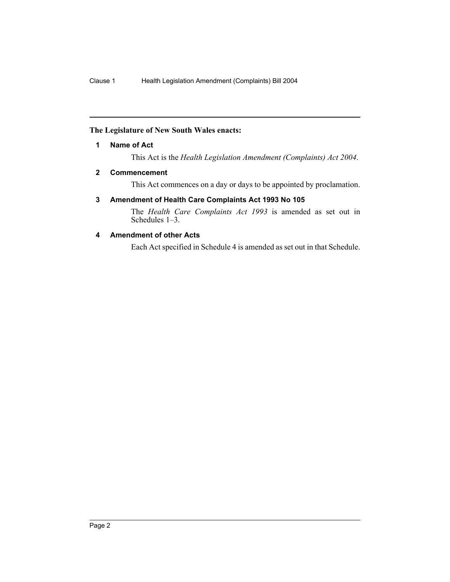#### **The Legislature of New South Wales enacts:**

#### **1 Name of Act**

This Act is the *Health Legislation Amendment (Complaints) Act 2004*.

#### **2 Commencement**

This Act commences on a day or days to be appointed by proclamation.

#### **3 Amendment of Health Care Complaints Act 1993 No 105**

The *Health Care Complaints Act 1993* is amended as set out in Schedules 1–3.

#### **4 Amendment of other Acts**

Each Act specified in Schedule 4 is amended as set out in that Schedule.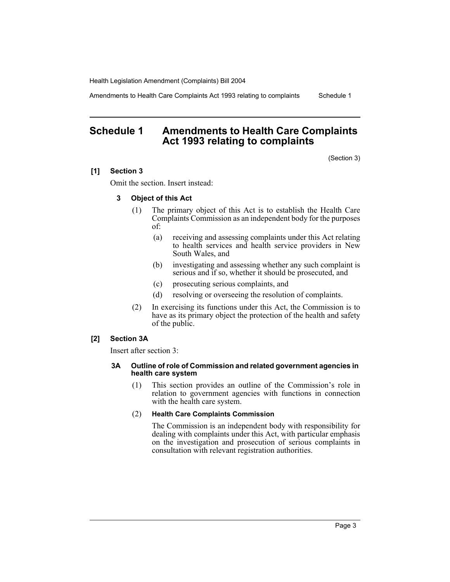Amendments to Health Care Complaints Act 1993 relating to complaints Schedule 1

# **Schedule 1 Amendments to Health Care Complaints Act 1993 relating to complaints**

(Section 3)

#### **[1] Section 3**

Omit the section. Insert instead:

#### **3 Object of this Act**

- (1) The primary object of this Act is to establish the Health Care Complaints Commission as an independent body for the purposes of:
	- (a) receiving and assessing complaints under this Act relating to health services and health service providers in New South Wales, and
	- (b) investigating and assessing whether any such complaint is serious and if so, whether it should be prosecuted, and
	- (c) prosecuting serious complaints, and
	- (d) resolving or overseeing the resolution of complaints.
- (2) In exercising its functions under this Act, the Commission is to have as its primary object the protection of the health and safety of the public.

#### **[2] Section 3A**

Insert after section 3:

#### **3A Outline of role of Commission and related government agencies in health care system**

(1) This section provides an outline of the Commission's role in relation to government agencies with functions in connection with the health care system.

#### (2) **Health Care Complaints Commission**

The Commission is an independent body with responsibility for dealing with complaints under this Act, with particular emphasis on the investigation and prosecution of serious complaints in consultation with relevant registration authorities.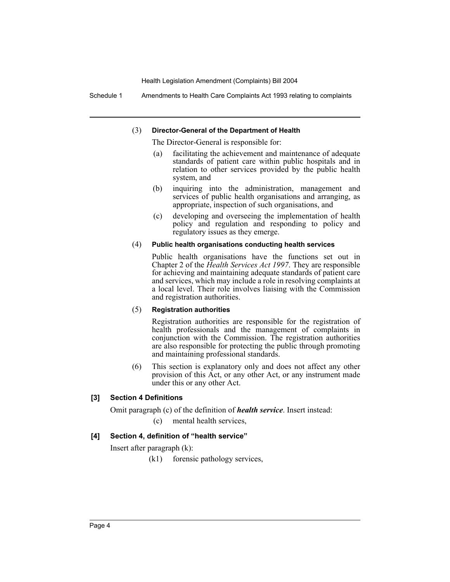Schedule 1 Amendments to Health Care Complaints Act 1993 relating to complaints

#### (3) **Director-General of the Department of Health**

The Director-General is responsible for:

- (a) facilitating the achievement and maintenance of adequate standards of patient care within public hospitals and in relation to other services provided by the public health system, and
- (b) inquiring into the administration, management and services of public health organisations and arranging, as appropriate, inspection of such organisations, and
- (c) developing and overseeing the implementation of health policy and regulation and responding to policy and regulatory issues as they emerge.

#### (4) **Public health organisations conducting health services**

Public health organisations have the functions set out in Chapter 2 of the *Health Services Act 1997*. They are responsible for achieving and maintaining adequate standards of patient care and services, which may include a role in resolving complaints at a local level. Their role involves liaising with the Commission and registration authorities.

#### (5) **Registration authorities**

Registration authorities are responsible for the registration of health professionals and the management of complaints in conjunction with the Commission. The registration authorities are also responsible for protecting the public through promoting and maintaining professional standards.

(6) This section is explanatory only and does not affect any other provision of this Act, or any other Act, or any instrument made under this or any other Act.

#### **[3] Section 4 Definitions**

Omit paragraph (c) of the definition of *health service*. Insert instead:

(c) mental health services,

#### **[4] Section 4, definition of "health service"**

Insert after paragraph (k):

(k1) forensic pathology services,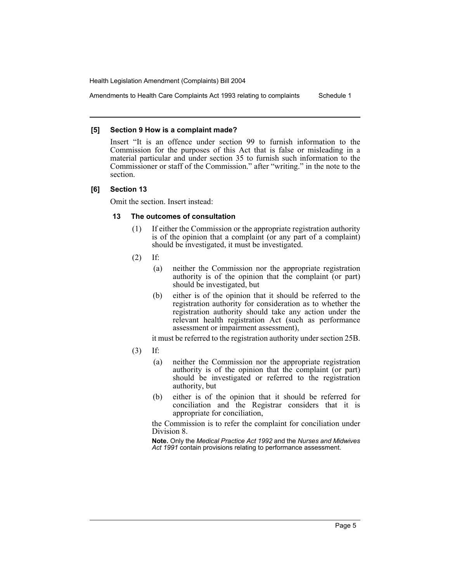Amendments to Health Care Complaints Act 1993 relating to complaints Schedule 1

#### **[5] Section 9 How is a complaint made?**

Insert "It is an offence under section 99 to furnish information to the Commission for the purposes of this Act that is false or misleading in a material particular and under section 35 to furnish such information to the Commissioner or staff of the Commission." after "writing." in the note to the section.

#### **[6] Section 13**

Omit the section. Insert instead:

#### **13 The outcomes of consultation**

- (1) If either the Commission or the appropriate registration authority is of the opinion that a complaint (or any part of a complaint) should be investigated, it must be investigated.
- (2) If:
	- (a) neither the Commission nor the appropriate registration authority is of the opinion that the complaint (or part) should be investigated, but
	- (b) either is of the opinion that it should be referred to the registration authority for consideration as to whether the registration authority should take any action under the relevant health registration Act (such as performance assessment or impairment assessment),

it must be referred to the registration authority under section 25B.

- (3) If:
	- (a) neither the Commission nor the appropriate registration authority is of the opinion that the complaint (or part) should be investigated or referred to the registration authority, but
	- (b) either is of the opinion that it should be referred for conciliation and the Registrar considers that it is appropriate for conciliation,

the Commission is to refer the complaint for conciliation under Division 8.

**Note.** Only the *Medical Practice Act 1992* and the *Nurses and Midwives Act 1991* contain provisions relating to performance assessment.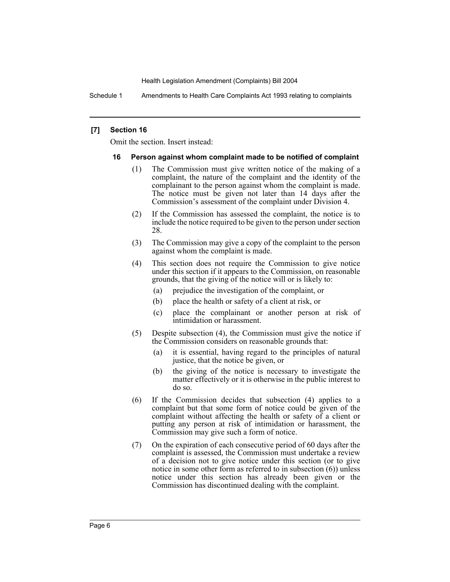Schedule 1 Amendments to Health Care Complaints Act 1993 relating to complaints

#### **[7] Section 16**

Omit the section. Insert instead:

#### **16 Person against whom complaint made to be notified of complaint**

- (1) The Commission must give written notice of the making of a complaint, the nature of the complaint and the identity of the complainant to the person against whom the complaint is made. The notice must be given not later than 14 days after the Commission's assessment of the complaint under Division 4.
- (2) If the Commission has assessed the complaint, the notice is to include the notice required to be given to the person under section 28.
- (3) The Commission may give a copy of the complaint to the person against whom the complaint is made.
- (4) This section does not require the Commission to give notice under this section if it appears to the Commission, on reasonable grounds, that the giving of the notice will or is likely to:
	- (a) prejudice the investigation of the complaint, or
	- (b) place the health or safety of a client at risk, or
	- (c) place the complainant or another person at risk of intimidation or harassment.
- (5) Despite subsection (4), the Commission must give the notice if the Commission considers on reasonable grounds that:
	- (a) it is essential, having regard to the principles of natural justice, that the notice be given, or
	- (b) the giving of the notice is necessary to investigate the matter effectively or it is otherwise in the public interest to do so.
- (6) If the Commission decides that subsection (4) applies to a complaint but that some form of notice could be given of the complaint without affecting the health or safety of a client or putting any person at risk of intimidation or harassment, the Commission may give such a form of notice.
- (7) On the expiration of each consecutive period of 60 days after the complaint is assessed, the Commission must undertake a review of a decision not to give notice under this section (or to give notice in some other form as referred to in subsection  $(6)$ ) unless notice under this section has already been given or the Commission has discontinued dealing with the complaint.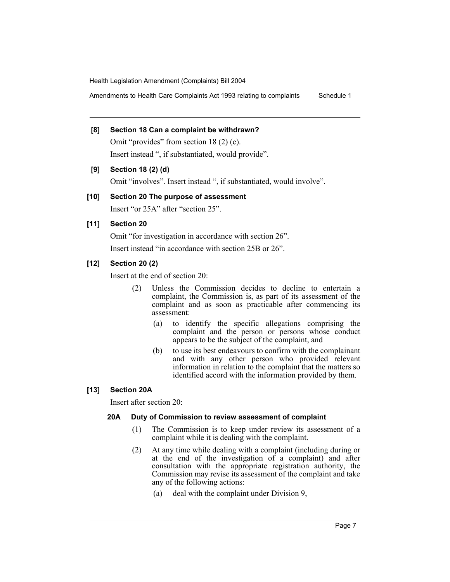Amendments to Health Care Complaints Act 1993 relating to complaints Schedule 1

#### **[8] Section 18 Can a complaint be withdrawn?**

Omit "provides" from section 18 (2) (c). Insert instead ", if substantiated, would provide".

#### **[9] Section 18 (2) (d)**

Omit "involves". Insert instead ", if substantiated, would involve".

#### **[10] Section 20 The purpose of assessment**

Insert "or 25A" after "section 25".

#### **[11] Section 20**

Omit "for investigation in accordance with section 26".

Insert instead "in accordance with section 25B or 26".

#### **[12] Section 20 (2)**

Insert at the end of section 20:

- (2) Unless the Commission decides to decline to entertain a complaint, the Commission is, as part of its assessment of the complaint and as soon as practicable after commencing its assessment:
	- (a) to identify the specific allegations comprising the complaint and the person or persons whose conduct appears to be the subject of the complaint, and
	- (b) to use its best endeavours to confirm with the complainant and with any other person who provided relevant information in relation to the complaint that the matters so identified accord with the information provided by them.

#### **[13] Section 20A**

Insert after section 20:

#### **20A Duty of Commission to review assessment of complaint**

- (1) The Commission is to keep under review its assessment of a complaint while it is dealing with the complaint.
- (2) At any time while dealing with a complaint (including during or at the end of the investigation of a complaint) and after consultation with the appropriate registration authority, the Commission may revise its assessment of the complaint and take any of the following actions:
	- (a) deal with the complaint under Division 9,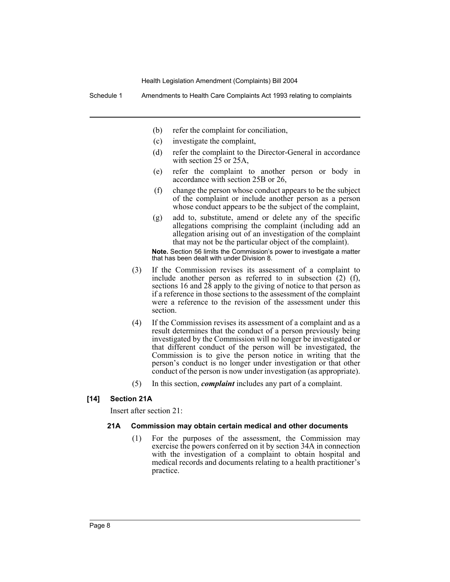Schedule 1 Amendments to Health Care Complaints Act 1993 relating to complaints

- (b) refer the complaint for conciliation,
- (c) investigate the complaint,
- (d) refer the complaint to the Director-General in accordance with section  $\overline{25}$  or  $25A$ ,
- (e) refer the complaint to another person or body in accordance with section 25B or 26,
- (f) change the person whose conduct appears to be the subject of the complaint or include another person as a person whose conduct appears to be the subject of the complaint,
- (g) add to, substitute, amend or delete any of the specific allegations comprising the complaint (including add an allegation arising out of an investigation of the complaint that may not be the particular object of the complaint).

**Note.** Section 56 limits the Commission's power to investigate a matter that has been dealt with under Division 8.

- (3) If the Commission revises its assessment of a complaint to include another person as referred to in subsection (2) (f), sections 16 and  $2\dot{8}$  apply to the giving of notice to that person as if a reference in those sections to the assessment of the complaint were a reference to the revision of the assessment under this section.
- (4) If the Commission revises its assessment of a complaint and as a result determines that the conduct of a person previously being investigated by the Commission will no longer be investigated or that different conduct of the person will be investigated, the Commission is to give the person notice in writing that the person's conduct is no longer under investigation or that other conduct of the person is now under investigation (as appropriate).
- (5) In this section, *complaint* includes any part of a complaint.

#### **[14] Section 21A**

Insert after section 21:

#### **21A Commission may obtain certain medical and other documents**

(1) For the purposes of the assessment, the Commission may exercise the powers conferred on it by section 34A in connection with the investigation of a complaint to obtain hospital and medical records and documents relating to a health practitioner's practice.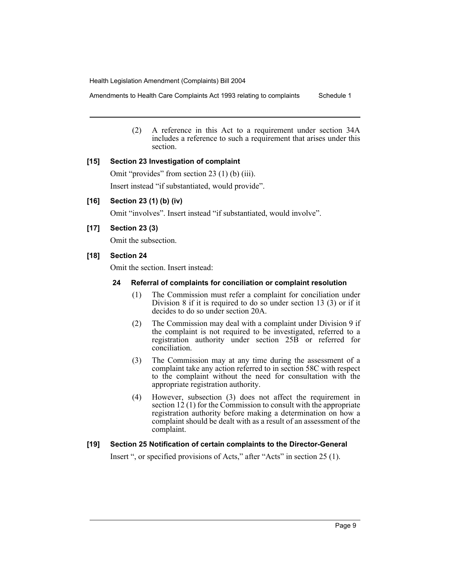Amendments to Health Care Complaints Act 1993 relating to complaints Schedule 1

(2) A reference in this Act to a requirement under section 34A includes a reference to such a requirement that arises under this section.

#### **[15] Section 23 Investigation of complaint**

Omit "provides" from section 23 (1) (b) (iii). Insert instead "if substantiated, would provide".

#### **[16] Section 23 (1) (b) (iv)**

Omit "involves". Insert instead "if substantiated, would involve".

#### **[17] Section 23 (3)**

Omit the subsection.

#### **[18] Section 24**

Omit the section. Insert instead:

#### **24 Referral of complaints for conciliation or complaint resolution**

- (1) The Commission must refer a complaint for conciliation under Division 8 if it is required to do so under section 13 (3) or if it decides to do so under section 20A.
- (2) The Commission may deal with a complaint under Division 9 if the complaint is not required to be investigated, referred to a registration authority under section 25B or referred for conciliation.
- (3) The Commission may at any time during the assessment of a complaint take any action referred to in section 58C with respect to the complaint without the need for consultation with the appropriate registration authority.
- (4) However, subsection (3) does not affect the requirement in section 12 (1) for the Commission to consult with the appropriate registration authority before making a determination on how a complaint should be dealt with as a result of an assessment of the complaint.

#### **[19] Section 25 Notification of certain complaints to the Director-General**

Insert ", or specified provisions of Acts," after "Acts" in section 25 (1).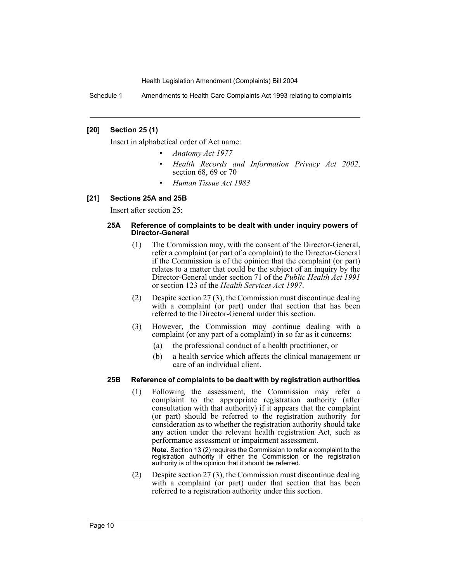Schedule 1 Amendments to Health Care Complaints Act 1993 relating to complaints

#### **[20] Section 25 (1)**

Insert in alphabetical order of Act name:

- *Anatomy Act 1977*
- *Health Records and Information Privacy Act 2002*, section 68, 69 or 70
- *Human Tissue Act 1983*

#### **[21] Sections 25A and 25B**

Insert after section 25:

#### **25A Reference of complaints to be dealt with under inquiry powers of Director-General**

- (1) The Commission may, with the consent of the Director-General, refer a complaint (or part of a complaint) to the Director-General if the Commission is of the opinion that the complaint (or part) relates to a matter that could be the subject of an inquiry by the Director-General under section 71 of the *Public Health Act 1991* or section 123 of the *Health Services Act 1997*.
- (2) Despite section 27 (3), the Commission must discontinue dealing with a complaint (or part) under that section that has been referred to the Director-General under this section.
- (3) However, the Commission may continue dealing with a complaint (or any part of a complaint) in so far as it concerns:
	- (a) the professional conduct of a health practitioner, or
	- (b) a health service which affects the clinical management or care of an individual client.

#### **25B Reference of complaints to be dealt with by registration authorities**

(1) Following the assessment, the Commission may refer a complaint to the appropriate registration authority (after consultation with that authority) if it appears that the complaint (or part) should be referred to the registration authority for consideration as to whether the registration authority should take any action under the relevant health registration Act, such as performance assessment or impairment assessment.

**Note.** Section 13 (2) requires the Commission to refer a complaint to the registration authority if either the Commission or the registration authority is of the opinion that it should be referred.

(2) Despite section 27 (3), the Commission must discontinue dealing with a complaint (or part) under that section that has been referred to a registration authority under this section.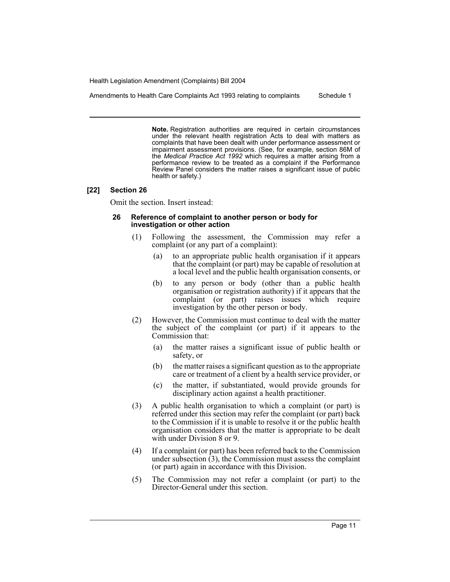Amendments to Health Care Complaints Act 1993 relating to complaints Schedule 1

**Note.** Registration authorities are required in certain circumstances under the relevant health registration Acts to deal with matters as complaints that have been dealt with under performance assessment or impairment assessment provisions. (See, for example, section 86M of the *Medical Practice Act 1992* which requires a matter arising from a performance review to be treated as a complaint if the Performance Review Panel considers the matter raises a significant issue of public health or safety.)

#### **[22] Section 26**

Omit the section. Insert instead:

#### **26 Reference of complaint to another person or body for investigation or other action**

- (1) Following the assessment, the Commission may refer a complaint (or any part of a complaint):
	- (a) to an appropriate public health organisation if it appears that the complaint (or part) may be capable of resolution at a local level and the public health organisation consents, or
	- (b) to any person or body (other than a public health organisation or registration authority) if it appears that the complaint (or part) raises issues which require investigation by the other person or body.
- (2) However, the Commission must continue to deal with the matter the subject of the complaint (or part) if it appears to the Commission that:
	- (a) the matter raises a significant issue of public health or safety, or
	- (b) the matter raises a significant question as to the appropriate care or treatment of a client by a health service provider, or
	- (c) the matter, if substantiated, would provide grounds for disciplinary action against a health practitioner.
- (3) A public health organisation to which a complaint (or part) is referred under this section may refer the complaint (or part) back to the Commission if it is unable to resolve it or the public health organisation considers that the matter is appropriate to be dealt with under Division 8 or 9.
- (4) If a complaint (or part) has been referred back to the Commission under subsection  $(3)$ , the Commission must assess the complaint (or part) again in accordance with this Division.
- (5) The Commission may not refer a complaint (or part) to the Director-General under this section.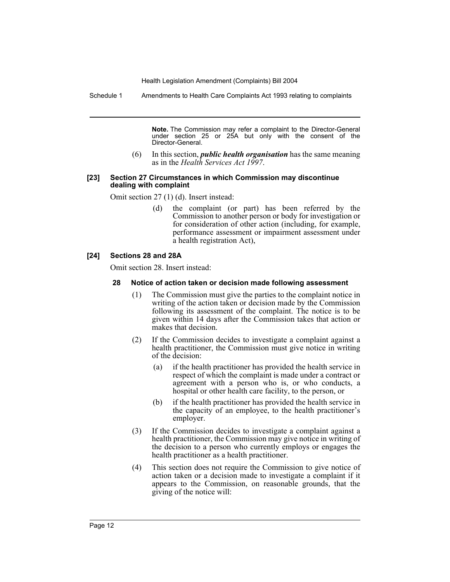Schedule 1 Amendments to Health Care Complaints Act 1993 relating to complaints

**Note.** The Commission may refer a complaint to the Director-General under section 25 or 25A but only with the consent of the Director-General.

(6) In this section, *public health organisation* has the same meaning as in the *Health Services Act 1997*.

#### **[23] Section 27 Circumstances in which Commission may discontinue dealing with complaint**

Omit section 27 (1) (d). Insert instead:

(d) the complaint (or part) has been referred by the Commission to another person or body for investigation or for consideration of other action (including, for example, performance assessment or impairment assessment under a health registration Act),

#### **[24] Sections 28 and 28A**

Omit section 28. Insert instead:

#### **28 Notice of action taken or decision made following assessment**

- (1) The Commission must give the parties to the complaint notice in writing of the action taken or decision made by the Commission following its assessment of the complaint. The notice is to be given within 14 days after the Commission takes that action or makes that decision.
- (2) If the Commission decides to investigate a complaint against a health practitioner, the Commission must give notice in writing of the decision:
	- (a) if the health practitioner has provided the health service in respect of which the complaint is made under a contract or agreement with a person who is, or who conducts, a hospital or other health care facility, to the person, or
	- (b) if the health practitioner has provided the health service in the capacity of an employee, to the health practitioner's employer.
- (3) If the Commission decides to investigate a complaint against a health practitioner, the Commission may give notice in writing of the decision to a person who currently employs or engages the health practitioner as a health practitioner.
- (4) This section does not require the Commission to give notice of action taken or a decision made to investigate a complaint if it appears to the Commission, on reasonable grounds, that the giving of the notice will: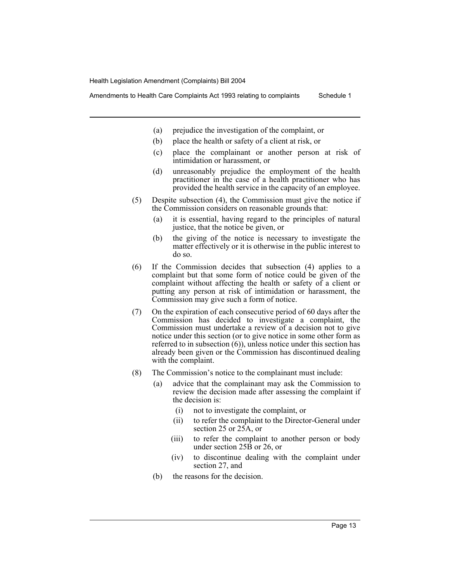Amendments to Health Care Complaints Act 1993 relating to complaints Schedule 1

- (a) prejudice the investigation of the complaint, or
- (b) place the health or safety of a client at risk, or
- (c) place the complainant or another person at risk of intimidation or harassment, or
- (d) unreasonably prejudice the employment of the health practitioner in the case of a health practitioner who has provided the health service in the capacity of an employee.
- (5) Despite subsection (4), the Commission must give the notice if the Commission considers on reasonable grounds that:
	- (a) it is essential, having regard to the principles of natural justice, that the notice be given, or
	- (b) the giving of the notice is necessary to investigate the matter effectively or it is otherwise in the public interest to do so.
- (6) If the Commission decides that subsection (4) applies to a complaint but that some form of notice could be given of the complaint without affecting the health or safety of a client or putting any person at risk of intimidation or harassment, the Commission may give such a form of notice.
- (7) On the expiration of each consecutive period of 60 days after the Commission has decided to investigate a complaint, the Commission must undertake a review of a decision not to give notice under this section (or to give notice in some other form as referred to in subsection  $(6)$ , unless notice under this section has already been given or the Commission has discontinued dealing with the complaint.
- (8) The Commission's notice to the complainant must include:
	- (a) advice that the complainant may ask the Commission to review the decision made after assessing the complaint if the decision is:
		- (i) not to investigate the complaint, or
		- (ii) to refer the complaint to the Director-General under section 25 or 25A, or
		- (iii) to refer the complaint to another person or body under section 25B or 26, or
		- (iv) to discontinue dealing with the complaint under section 27, and
	- (b) the reasons for the decision.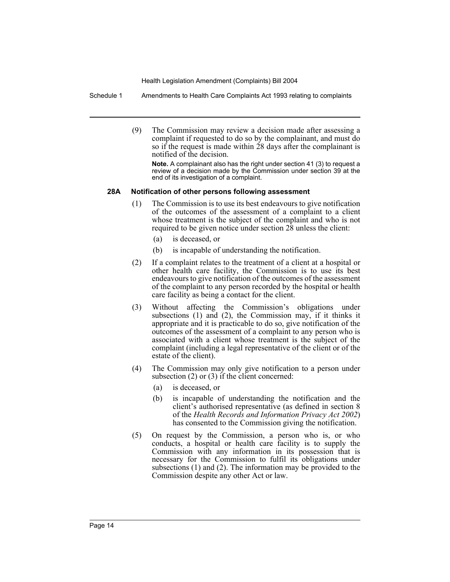Schedule 1 Amendments to Health Care Complaints Act 1993 relating to complaints

(9) The Commission may review a decision made after assessing a complaint if requested to do so by the complainant, and must do so if the request is made within 28 days after the complainant is notified of the decision.

**Note.** A complainant also has the right under section 41 (3) to request a review of a decision made by the Commission under section 39 at the end of its investigation of a complaint.

#### **28A Notification of other persons following assessment**

- (1) The Commission is to use its best endeavours to give notification of the outcomes of the assessment of a complaint to a client whose treatment is the subject of the complaint and who is not required to be given notice under section 28 unless the client:
	- (a) is deceased, or
	- (b) is incapable of understanding the notification.
- (2) If a complaint relates to the treatment of a client at a hospital or other health care facility, the Commission is to use its best endeavours to give notification of the outcomes of the assessment of the complaint to any person recorded by the hospital or health care facility as being a contact for the client.
- (3) Without affecting the Commission's obligations under subsections (1) and (2), the Commission may, if it thinks it appropriate and it is practicable to do so, give notification of the outcomes of the assessment of a complaint to any person who is associated with a client whose treatment is the subject of the complaint (including a legal representative of the client or of the estate of the client).
- (4) The Commission may only give notification to a person under subsection (2) or (3) if the client concerned:
	- (a) is deceased, or
	- (b) is incapable of understanding the notification and the client's authorised representative (as defined in section 8 of the *Health Records and Information Privacy Act 2002*) has consented to the Commission giving the notification.
- (5) On request by the Commission, a person who is, or who conducts, a hospital or health care facility is to supply the Commission with any information in its possession that is necessary for the Commission to fulfil its obligations under subsections (1) and (2). The information may be provided to the Commission despite any other Act or law.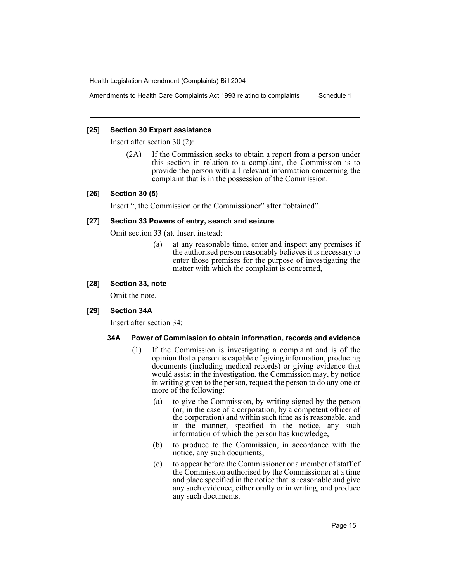Amendments to Health Care Complaints Act 1993 relating to complaints Schedule 1

#### **[25] Section 30 Expert assistance**

Insert after section 30 (2):

(2A) If the Commission seeks to obtain a report from a person under this section in relation to a complaint, the Commission is to provide the person with all relevant information concerning the complaint that is in the possession of the Commission.

#### **[26] Section 30 (5)**

Insert ", the Commission or the Commissioner" after "obtained".

#### **[27] Section 33 Powers of entry, search and seizure**

Omit section 33 (a). Insert instead:

(a) at any reasonable time, enter and inspect any premises if the authorised person reasonably believes it is necessary to enter those premises for the purpose of investigating the matter with which the complaint is concerned,

#### **[28] Section 33, note**

Omit the note.

#### **[29] Section 34A**

Insert after section 34:

#### **34A Power of Commission to obtain information, records and evidence**

- (1) If the Commission is investigating a complaint and is of the opinion that a person is capable of giving information, producing documents (including medical records) or giving evidence that would assist in the investigation, the Commission may, by notice in writing given to the person, request the person to do any one or more of the following:
	- (a) to give the Commission, by writing signed by the person (or, in the case of a corporation, by a competent officer of the corporation) and within such time as is reasonable, and in the manner, specified in the notice, any such information of which the person has knowledge,
	- (b) to produce to the Commission, in accordance with the notice, any such documents,
	- (c) to appear before the Commissioner or a member of staff of the Commission authorised by the Commissioner at a time and place specified in the notice that is reasonable and give any such evidence, either orally or in writing, and produce any such documents.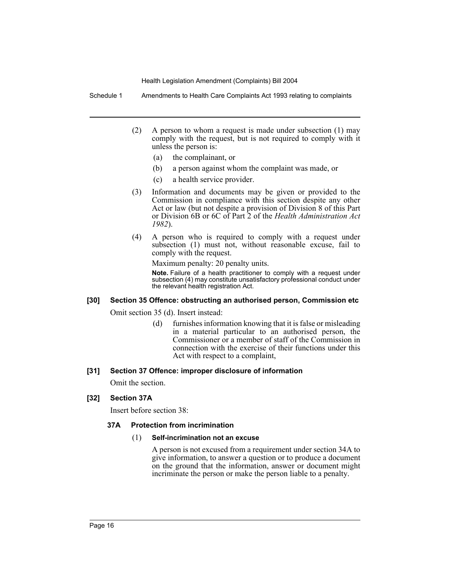Schedule 1 Amendments to Health Care Complaints Act 1993 relating to complaints

- (2) A person to whom a request is made under subsection (1) may comply with the request, but is not required to comply with it unless the person is:
	- (a) the complainant, or
	- (b) a person against whom the complaint was made, or
	- (c) a health service provider.
- (3) Information and documents may be given or provided to the Commission in compliance with this section despite any other Act or law (but not despite a provision of Division 8 of this Part or Division 6B or 6C of Part 2 of the *Health Administration Act 1982*).
- (4) A person who is required to comply with a request under subsection (1) must not, without reasonable excuse, fail to comply with the request.

Maximum penalty: 20 penalty units.

**Note.** Failure of a health practitioner to comply with a request under subsection (4) may constitute unsatisfactory professional conduct under the relevant health registration Act.

#### **[30] Section 35 Offence: obstructing an authorised person, Commission etc**

Omit section 35 (d). Insert instead:

(d) furnishes information knowing that it is false or misleading in a material particular to an authorised person, the Commissioner or a member of staff of the Commission in connection with the exercise of their functions under this Act with respect to a complaint,

#### **[31] Section 37 Offence: improper disclosure of information**

Omit the section.

#### **[32] Section 37A**

Insert before section 38:

#### **37A Protection from incrimination**

#### (1) **Self-incrimination not an excuse**

A person is not excused from a requirement under section 34A to give information, to answer a question or to produce a document on the ground that the information, answer or document might incriminate the person or make the person liable to a penalty.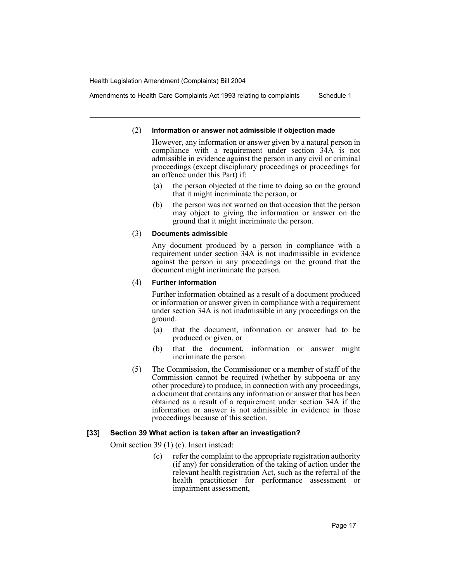Amendments to Health Care Complaints Act 1993 relating to complaints Schedule 1

#### (2) **Information or answer not admissible if objection made**

However, any information or answer given by a natural person in compliance with a requirement under section 34A is not admissible in evidence against the person in any civil or criminal proceedings (except disciplinary proceedings or proceedings for an offence under this Part) if:

- (a) the person objected at the time to doing so on the ground that it might incriminate the person, or
- (b) the person was not warned on that occasion that the person may object to giving the information or answer on the ground that it might incriminate the person.

#### (3) **Documents admissible**

Any document produced by a person in compliance with a requirement under section 34A is not inadmissible in evidence against the person in any proceedings on the ground that the document might incriminate the person.

#### (4) **Further information**

Further information obtained as a result of a document produced or information or answer given in compliance with a requirement under section 34A is not inadmissible in any proceedings on the ground:

- (a) that the document, information or answer had to be produced or given, or
- (b) that the document, information or answer might incriminate the person.
- (5) The Commission, the Commissioner or a member of staff of the Commission cannot be required (whether by subpoena or any other procedure) to produce, in connection with any proceedings, a document that contains any information or answer that has been obtained as a result of a requirement under section 34A if the information or answer is not admissible in evidence in those proceedings because of this section.

#### **[33] Section 39 What action is taken after an investigation?**

Omit section 39 (1) (c). Insert instead:

(c) refer the complaint to the appropriate registration authority (if any) for consideration of the taking of action under the relevant health registration Act, such as the referral of the health practitioner for performance assessment or impairment assessment,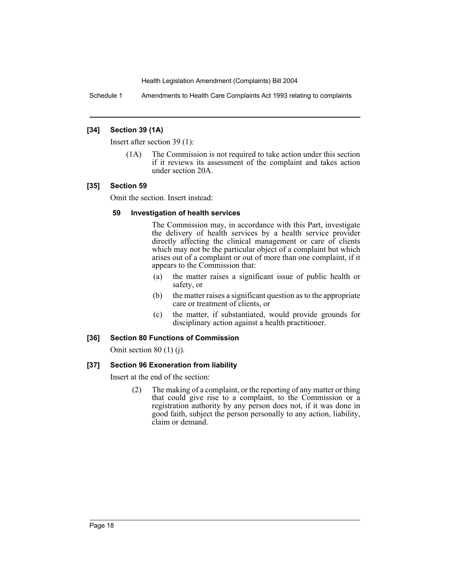Schedule 1 Amendments to Health Care Complaints Act 1993 relating to complaints

#### **[34] Section 39 (1A)**

Insert after section 39 (1):

(1A) The Commission is not required to take action under this section if it reviews its assessment of the complaint and takes action under section 20A.

#### **[35] Section 59**

Omit the section. Insert instead:

#### **59 Investigation of health services**

The Commission may, in accordance with this Part, investigate the delivery of health services by a health service provider directly affecting the clinical management or care of clients which may not be the particular object of a complaint but which arises out of a complaint or out of more than one complaint, if it appears to the Commission that:

- (a) the matter raises a significant issue of public health or safety, or
- (b) the matter raises a significant question as to the appropriate care or treatment of clients, or
- (c) the matter, if substantiated, would provide grounds for disciplinary action against a health practitioner.

#### **[36] Section 80 Functions of Commission**

Omit section 80 (1) (j).

#### **[37] Section 96 Exoneration from liability**

Insert at the end of the section:

(2) The making of a complaint, or the reporting of any matter or thing that could give rise to a complaint, to the Commission or a registration authority by any person does not, if it was done in good faith, subject the person personally to any action, liability, claim or demand.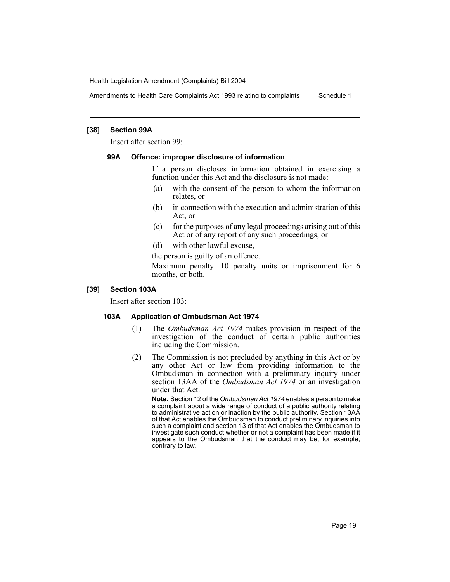Amendments to Health Care Complaints Act 1993 relating to complaints Schedule 1

#### **[38] Section 99A**

Insert after section 99:

#### **99A Offence: improper disclosure of information**

If a person discloses information obtained in exercising a function under this Act and the disclosure is not made:

- (a) with the consent of the person to whom the information relates, or
- (b) in connection with the execution and administration of this Act, or
- (c) for the purposes of any legal proceedings arising out of this Act or of any report of any such proceedings, or
- (d) with other lawful excuse,

the person is guilty of an offence.

Maximum penalty: 10 penalty units or imprisonment for 6 months, or both.

#### **[39] Section 103A**

Insert after section 103:

#### **103A Application of Ombudsman Act 1974**

- (1) The *Ombudsman Act 1974* makes provision in respect of the investigation of the conduct of certain public authorities including the Commission.
- (2) The Commission is not precluded by anything in this Act or by any other Act or law from providing information to the Ombudsman in connection with a preliminary inquiry under section 13AA of the *Ombudsman Act 1974* or an investigation under that Act.

**Note.** Section 12 of the *Ombudsman Act 1974* enables a person to make a complaint about a wide range of conduct of a public authority relating to administrative action or inaction by the public authority. Section 13AA of that Act enables the Ombudsman to conduct preliminary inquiries into such a complaint and section 13 of that Act enables the Ombudsman to investigate such conduct whether or not a complaint has been made if it appears to the Ombudsman that the conduct may be, for example, contrary to law.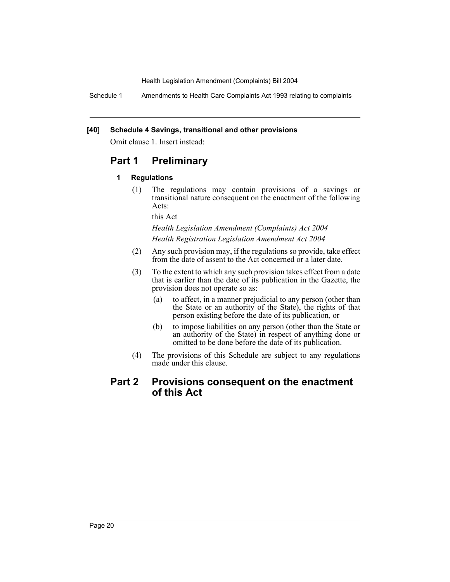Schedule 1 Amendments to Health Care Complaints Act 1993 relating to complaints

#### **[40] Schedule 4 Savings, transitional and other provisions**

Omit clause 1. Insert instead:

# **Part 1 Preliminary**

#### **1 Regulations**

(1) The regulations may contain provisions of a savings or transitional nature consequent on the enactment of the following Acts:

this Act

#### *Health Legislation Amendment (Complaints) Act 2004 Health Registration Legislation Amendment Act 2004*

- (2) Any such provision may, if the regulations so provide, take effect from the date of assent to the Act concerned or a later date.
- (3) To the extent to which any such provision takes effect from a date that is earlier than the date of its publication in the Gazette, the provision does not operate so as:
	- (a) to affect, in a manner prejudicial to any person (other than the State or an authority of the State), the rights of that person existing before the date of its publication, or
	- (b) to impose liabilities on any person (other than the State or an authority of the State) in respect of anything done or omitted to be done before the date of its publication.
- (4) The provisions of this Schedule are subject to any regulations made under this clause.

# **Part 2 Provisions consequent on the enactment of this Act**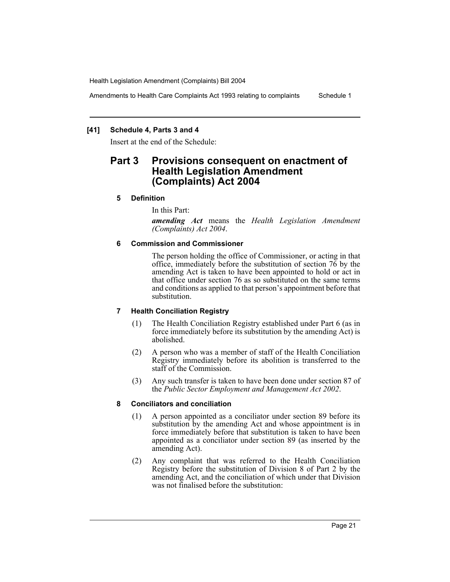Amendments to Health Care Complaints Act 1993 relating to complaints Schedule 1

#### **[41] Schedule 4, Parts 3 and 4**

Insert at the end of the Schedule:

# **Part 3 Provisions consequent on enactment of Health Legislation Amendment (Complaints) Act 2004**

#### **5 Definition**

In this Part:

*amending Act* means the *Health Legislation Amendment (Complaints) Act 2004*.

#### **6 Commission and Commissioner**

The person holding the office of Commissioner, or acting in that office, immediately before the substitution of section 76 by the amending Act is taken to have been appointed to hold or act in that office under section 76 as so substituted on the same terms and conditions as applied to that person's appointment before that substitution.

#### **7 Health Conciliation Registry**

- (1) The Health Conciliation Registry established under Part 6 (as in force immediately before its substitution by the amending Act) is abolished.
- (2) A person who was a member of staff of the Health Conciliation Registry immediately before its abolition is transferred to the staff of the Commission.
- (3) Any such transfer is taken to have been done under section 87 of the *Public Sector Employment and Management Act 2002*.

#### **8 Conciliators and conciliation**

- (1) A person appointed as a conciliator under section 89 before its substitution by the amending Act and whose appointment is in force immediately before that substitution is taken to have been appointed as a conciliator under section 89 (as inserted by the amending Act).
- (2) Any complaint that was referred to the Health Conciliation Registry before the substitution of Division 8 of Part 2 by the amending Act, and the conciliation of which under that Division was not finalised before the substitution: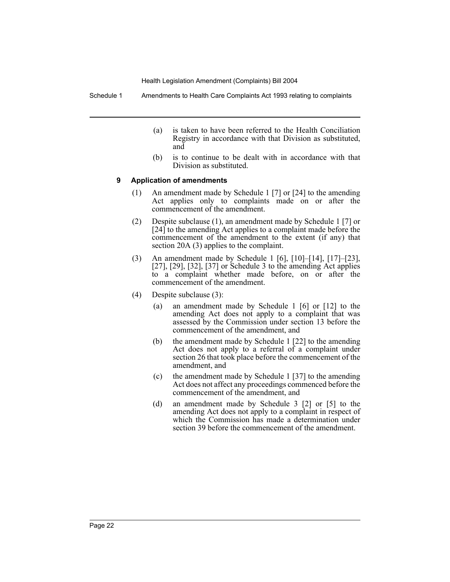Schedule 1 Amendments to Health Care Complaints Act 1993 relating to complaints

- (a) is taken to have been referred to the Health Conciliation Registry in accordance with that Division as substituted, and
- (b) is to continue to be dealt with in accordance with that Division as substituted.

#### **9 Application of amendments**

- (1) An amendment made by Schedule 1 [7] or [24] to the amending Act applies only to complaints made on or after the commencement of the amendment.
- (2) Despite subclause (1), an amendment made by Schedule 1 [7] or [24] to the amending Act applies to a complaint made before the commencement of the amendment to the extent (if any) that section 20A (3) applies to the complaint.
- (3) An amendment made by Schedule 1 [6], [10]–[14], [17]–[23], [27], [29], [32], [37] or Schedule 3 to the amending Act applies to a complaint whether made before, on or after the commencement of the amendment.
- (4) Despite subclause (3):
	- (a) an amendment made by Schedule 1 [6] or [12] to the amending Act does not apply to a complaint that was assessed by the Commission under section 13 before the commencement of the amendment, and
	- (b) the amendment made by Schedule 1 [22] to the amending Act does not apply to a referral of a complaint under section 26 that took place before the commencement of the amendment, and
	- (c) the amendment made by Schedule 1 [37] to the amending Act does not affect any proceedings commenced before the commencement of the amendment, and
	- (d) an amendment made by Schedule 3 [2] or [5] to the amending Act does not apply to a complaint in respect of which the Commission has made a determination under section 39 before the commencement of the amendment.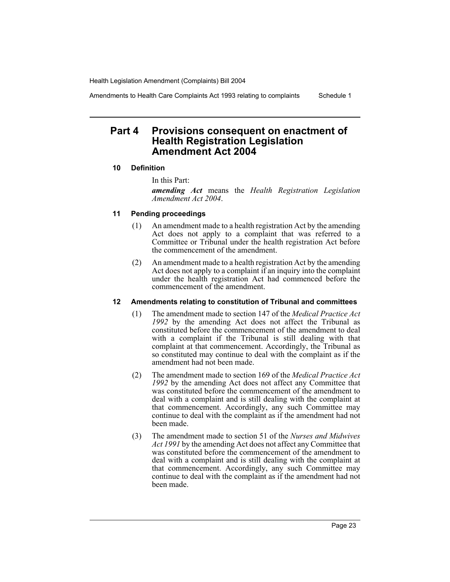Amendments to Health Care Complaints Act 1993 relating to complaints Schedule 1

# **Part 4 Provisions consequent on enactment of Health Registration Legislation Amendment Act 2004**

#### **10 Definition**

In this Part:

*amending Act* means the *Health Registration Legislation Amendment Act 2004*.

#### **11 Pending proceedings**

- (1) An amendment made to a health registration Act by the amending Act does not apply to a complaint that was referred to a Committee or Tribunal under the health registration Act before the commencement of the amendment.
- (2) An amendment made to a health registration Act by the amending Act does not apply to a complaint if an inquiry into the complaint under the health registration Act had commenced before the commencement of the amendment.

#### **12 Amendments relating to constitution of Tribunal and committees**

- (1) The amendment made to section 147 of the *Medical Practice Act 1992* by the amending Act does not affect the Tribunal as constituted before the commencement of the amendment to deal with a complaint if the Tribunal is still dealing with that complaint at that commencement. Accordingly, the Tribunal as so constituted may continue to deal with the complaint as if the amendment had not been made.
- (2) The amendment made to section 169 of the *Medical Practice Act 1992* by the amending Act does not affect any Committee that was constituted before the commencement of the amendment to deal with a complaint and is still dealing with the complaint at that commencement. Accordingly, any such Committee may continue to deal with the complaint as if the amendment had not been made.
- (3) The amendment made to section 51 of the *Nurses and Midwives Act 1991* by the amending Act does not affect any Committee that was constituted before the commencement of the amendment to deal with a complaint and is still dealing with the complaint at that commencement. Accordingly, any such Committee may continue to deal with the complaint as if the amendment had not been made.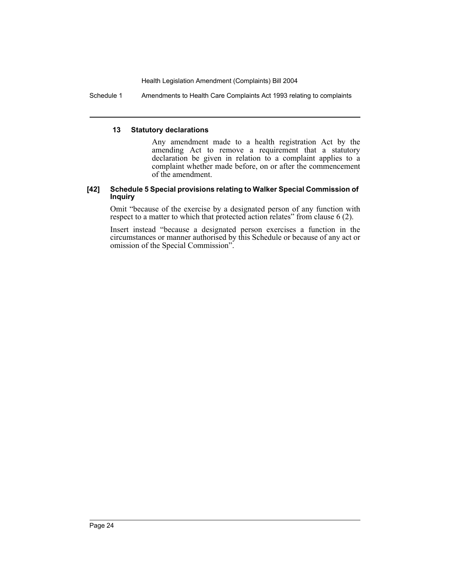Schedule 1 Amendments to Health Care Complaints Act 1993 relating to complaints

#### **13 Statutory declarations**

Any amendment made to a health registration Act by the amending Act to remove a requirement that a statutory declaration be given in relation to a complaint applies to a complaint whether made before, on or after the commencement of the amendment.

#### **[42] Schedule 5 Special provisions relating to Walker Special Commission of Inquiry**

Omit "because of the exercise by a designated person of any function with respect to a matter to which that protected action relates" from clause 6 (2).

Insert instead "because a designated person exercises a function in the circumstances or manner authorised by this Schedule or because of any act or omission of the Special Commission".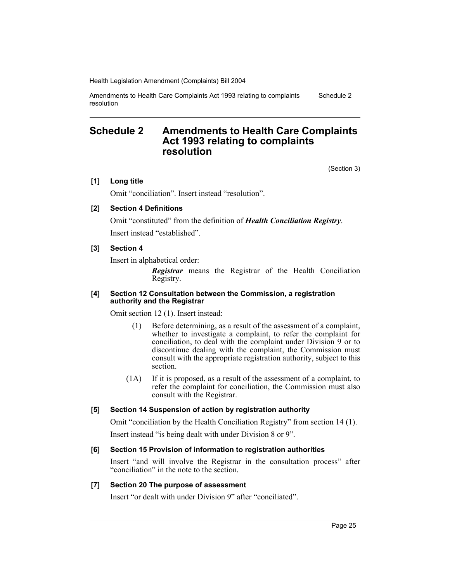Amendments to Health Care Complaints Act 1993 relating to complaints resolution Schedule 2

### **Schedule 2 Amendments to Health Care Complaints Act 1993 relating to complaints resolution**

(Section 3)

#### **[1] Long title**

Omit "conciliation". Insert instead "resolution".

#### **[2] Section 4 Definitions**

Omit "constituted" from the definition of *Health Conciliation Registry*. Insert instead "established".

#### **[3] Section 4**

Insert in alphabetical order:

*Registrar* means the Registrar of the Health Conciliation Registry.

#### **[4] Section 12 Consultation between the Commission, a registration authority and the Registrar**

Omit section 12 (1). Insert instead:

- (1) Before determining, as a result of the assessment of a complaint, whether to investigate a complaint, to refer the complaint for conciliation, to deal with the complaint under Division 9 or to discontinue dealing with the complaint, the Commission must consult with the appropriate registration authority, subject to this section.
- (1A) If it is proposed, as a result of the assessment of a complaint, to refer the complaint for conciliation, the Commission must also consult with the Registrar.

#### **[5] Section 14 Suspension of action by registration authority**

Omit "conciliation by the Health Conciliation Registry" from section 14 (1).

Insert instead "is being dealt with under Division 8 or 9".

#### **[6] Section 15 Provision of information to registration authorities**

Insert "and will involve the Registrar in the consultation process" after "conciliation" in the note to the section.

#### **[7] Section 20 The purpose of assessment**

Insert "or dealt with under Division 9" after "conciliated".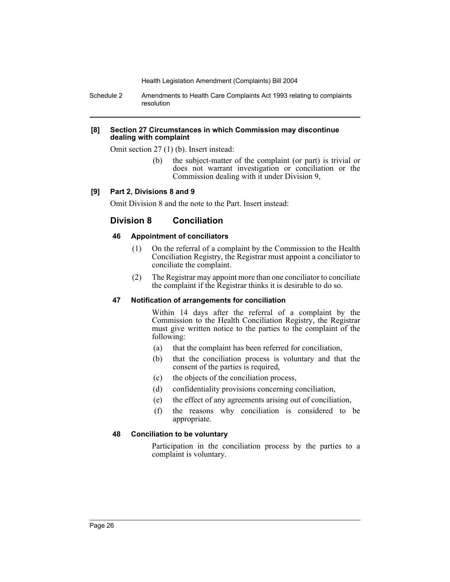Schedule 2 Amendments to Health Care Complaints Act 1993 relating to complaints resolution

#### **[8] Section 27 Circumstances in which Commission may discontinue dealing with complaint**

Omit section 27 (1) (b). Insert instead:

(b) the subject-matter of the complaint (or part) is trivial or does not warrant investigation or conciliation or the Commission dealing with it under Division 9,

#### **[9] Part 2, Divisions 8 and 9**

Omit Division 8 and the note to the Part. Insert instead:

### **Division 8 Conciliation**

#### **46 Appointment of conciliators**

- (1) On the referral of a complaint by the Commission to the Health Conciliation Registry, the Registrar must appoint a conciliator to conciliate the complaint.
- (2) The Registrar may appoint more than one conciliator to conciliate the complaint if the Registrar thinks it is desirable to do so.

#### **47 Notification of arrangements for conciliation**

Within 14 days after the referral of a complaint by the Commission to the Health Conciliation Registry, the Registrar must give written notice to the parties to the complaint of the following:

- (a) that the complaint has been referred for conciliation,
- (b) that the conciliation process is voluntary and that the consent of the parties is required,
- (c) the objects of the conciliation process,
- (d) confidentiality provisions concerning conciliation,
- (e) the effect of any agreements arising out of conciliation,
- (f) the reasons why conciliation is considered to be appropriate.

#### **48 Conciliation to be voluntary**

Participation in the conciliation process by the parties to a complaint is voluntary.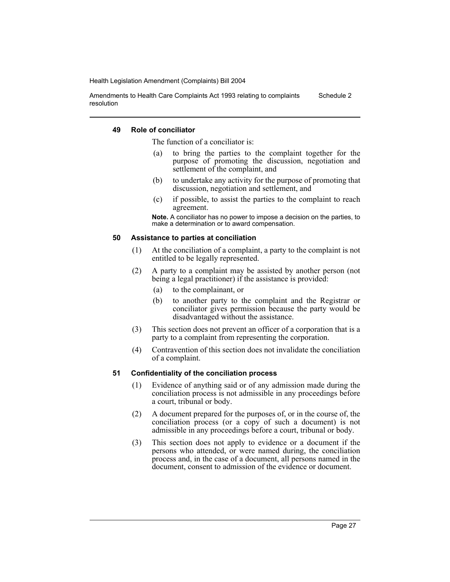Amendments to Health Care Complaints Act 1993 relating to complaints resolution Schedule 2

#### **49 Role of conciliator**

The function of a conciliator is:

- (a) to bring the parties to the complaint together for the purpose of promoting the discussion, negotiation and settlement of the complaint, and
- (b) to undertake any activity for the purpose of promoting that discussion, negotiation and settlement, and
- (c) if possible, to assist the parties to the complaint to reach agreement.

**Note.** A conciliator has no power to impose a decision on the parties, to make a determination or to award compensation.

#### **50 Assistance to parties at conciliation**

- (1) At the conciliation of a complaint, a party to the complaint is not entitled to be legally represented.
- (2) A party to a complaint may be assisted by another person (not being a legal practitioner) if the assistance is provided:
	- (a) to the complainant, or
	- (b) to another party to the complaint and the Registrar or conciliator gives permission because the party would be disadvantaged without the assistance.
- (3) This section does not prevent an officer of a corporation that is a party to a complaint from representing the corporation.
- (4) Contravention of this section does not invalidate the conciliation of a complaint.

#### **51 Confidentiality of the conciliation process**

- (1) Evidence of anything said or of any admission made during the conciliation process is not admissible in any proceedings before a court, tribunal or body.
- (2) A document prepared for the purposes of, or in the course of, the conciliation process (or a copy of such a document) is not admissible in any proceedings before a court, tribunal or body.
- (3) This section does not apply to evidence or a document if the persons who attended, or were named during, the conciliation process and, in the case of a document, all persons named in the document, consent to admission of the evidence or document.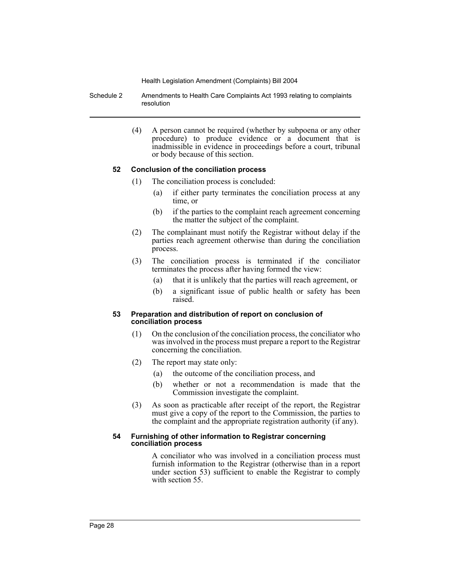- Schedule 2 Amendments to Health Care Complaints Act 1993 relating to complaints resolution
	- (4) A person cannot be required (whether by subpoena or any other procedure) to produce evidence or a document that is inadmissible in evidence in proceedings before a court, tribunal or body because of this section.

#### **52 Conclusion of the conciliation process**

- (1) The conciliation process is concluded:
	- (a) if either party terminates the conciliation process at any time, or
	- (b) if the parties to the complaint reach agreement concerning the matter the subject of the complaint.
- (2) The complainant must notify the Registrar without delay if the parties reach agreement otherwise than during the conciliation process.
- (3) The conciliation process is terminated if the conciliator terminates the process after having formed the view:
	- (a) that it is unlikely that the parties will reach agreement, or
	- (b) a significant issue of public health or safety has been raised.

#### **53 Preparation and distribution of report on conclusion of conciliation process**

- (1) On the conclusion of the conciliation process, the conciliator who was involved in the process must prepare a report to the Registrar concerning the conciliation.
- (2) The report may state only:
	- (a) the outcome of the conciliation process, and
	- (b) whether or not a recommendation is made that the Commission investigate the complaint.
- (3) As soon as practicable after receipt of the report, the Registrar must give a copy of the report to the Commission, the parties to the complaint and the appropriate registration authority (if any).

#### **54 Furnishing of other information to Registrar concerning conciliation process**

A conciliator who was involved in a conciliation process must furnish information to the Registrar (otherwise than in a report under section 53) sufficient to enable the Registrar to comply with section 55.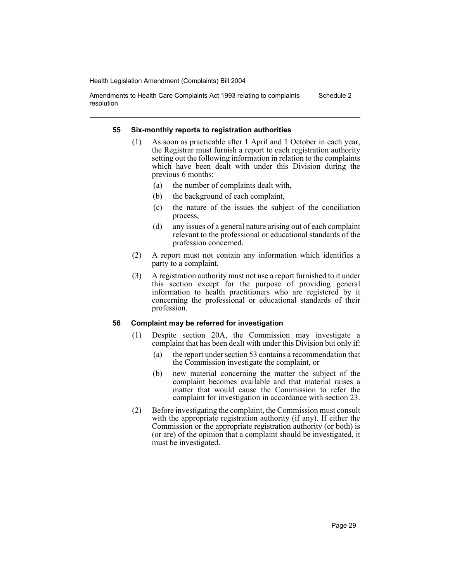Amendments to Health Care Complaints Act 1993 relating to complaints resolution Schedule 2

#### **55 Six-monthly reports to registration authorities**

- (1) As soon as practicable after 1 April and 1 October in each year, the Registrar must furnish a report to each registration authority setting out the following information in relation to the complaints which have been dealt with under this Division during the previous 6 months:
	- (a) the number of complaints dealt with,
	- (b) the background of each complaint,
	- (c) the nature of the issues the subject of the conciliation process,
	- (d) any issues of a general nature arising out of each complaint relevant to the professional or educational standards of the profession concerned.
- (2) A report must not contain any information which identifies a party to a complaint.
- (3) A registration authority must not use a report furnished to it under this section except for the purpose of providing general information to health practitioners who are registered by it concerning the professional or educational standards of their profession.

#### **56 Complaint may be referred for investigation**

- (1) Despite section 20A, the Commission may investigate a complaint that has been dealt with under this Division but only if:
	- (a) the report under section 53 contains a recommendation that the Commission investigate the complaint, or
	- (b) new material concerning the matter the subject of the complaint becomes available and that material raises a matter that would cause the Commission to refer the complaint for investigation in accordance with section 23.
- (2) Before investigating the complaint, the Commission must consult with the appropriate registration authority (if any). If either the Commission or the appropriate registration authority (or both) is (or are) of the opinion that a complaint should be investigated, it must be investigated.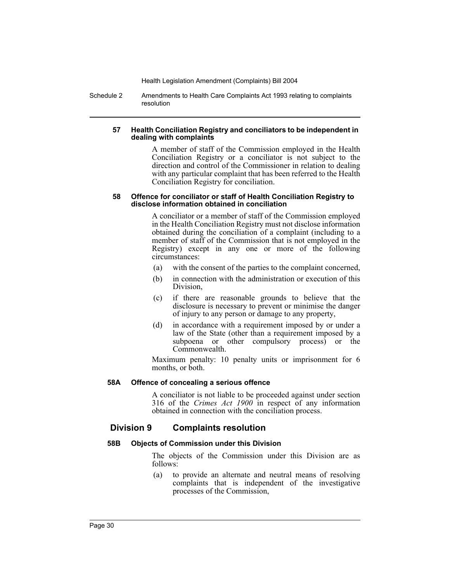Schedule 2 Amendments to Health Care Complaints Act 1993 relating to complaints resolution

#### **57 Health Conciliation Registry and conciliators to be independent in dealing with complaints**

A member of staff of the Commission employed in the Health Conciliation Registry or a conciliator is not subject to the direction and control of the Commissioner in relation to dealing with any particular complaint that has been referred to the Health Conciliation Registry for conciliation.

#### **58 Offence for conciliator or staff of Health Conciliation Registry to disclose information obtained in conciliation**

A conciliator or a member of staff of the Commission employed in the Health Conciliation Registry must not disclose information obtained during the conciliation of a complaint (including to a member of staff of the Commission that is not employed in the Registry) except in any one or more of the following circumstances:

- (a) with the consent of the parties to the complaint concerned,
- (b) in connection with the administration or execution of this Division,
- (c) if there are reasonable grounds to believe that the disclosure is necessary to prevent or minimise the danger of injury to any person or damage to any property,
- (d) in accordance with a requirement imposed by or under a law of the State (other than a requirement imposed by a subpoena or other compulsory process) or the Commonwealth.

Maximum penalty: 10 penalty units or imprisonment for 6 months, or both.

#### **58A Offence of concealing a serious offence**

A conciliator is not liable to be proceeded against under section 316 of the *Crimes Act 1900* in respect of any information obtained in connection with the conciliation process.

#### **Division 9 Complaints resolution**

#### **58B Objects of Commission under this Division**

The objects of the Commission under this Division are as follows:

(a) to provide an alternate and neutral means of resolving complaints that is independent of the investigative processes of the Commission,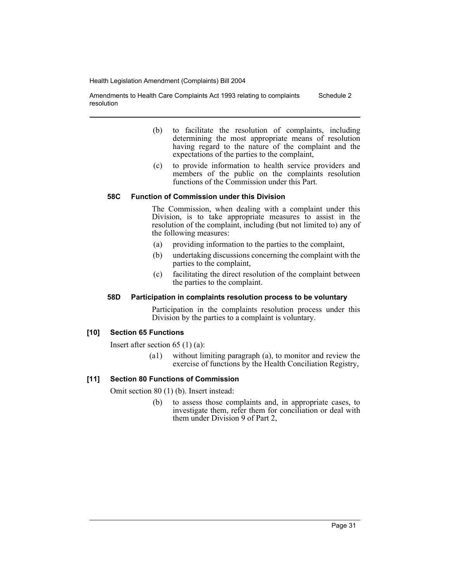Amendments to Health Care Complaints Act 1993 relating to complaints resolution Schedule 2

- (b) to facilitate the resolution of complaints, including determining the most appropriate means of resolution having regard to the nature of the complaint and the expectations of the parties to the complaint,
- (c) to provide information to health service providers and members of the public on the complaints resolution functions of the Commission under this Part.

#### **58C Function of Commission under this Division**

The Commission, when dealing with a complaint under this Division, is to take appropriate measures to assist in the resolution of the complaint, including (but not limited to) any of the following measures:

- (a) providing information to the parties to the complaint,
- (b) undertaking discussions concerning the complaint with the parties to the complaint,
- (c) facilitating the direct resolution of the complaint between the parties to the complaint.

#### **58D Participation in complaints resolution process to be voluntary**

Participation in the complaints resolution process under this Division by the parties to a complaint is voluntary.

#### **[10] Section 65 Functions**

Insert after section 65 (1) (a):

(a1) without limiting paragraph (a), to monitor and review the exercise of functions by the Health Conciliation Registry,

#### **[11] Section 80 Functions of Commission**

Omit section 80 (1) (b). Insert instead:

(b) to assess those complaints and, in appropriate cases, to investigate them, refer them for conciliation or deal with them under Division 9 of Part 2,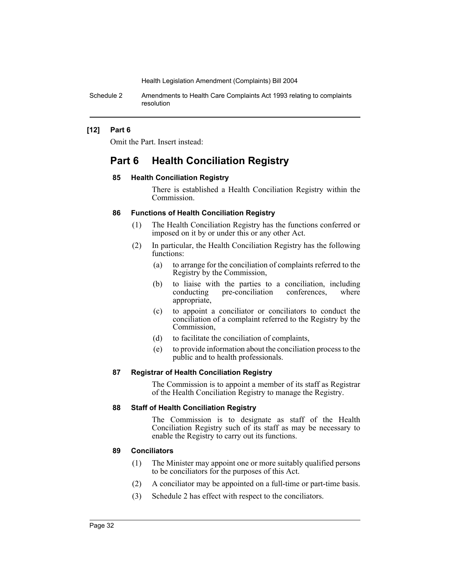Schedule 2 Amendments to Health Care Complaints Act 1993 relating to complaints resolution

#### **[12] Part 6**

Omit the Part. Insert instead:

# **Part 6 Health Conciliation Registry**

#### **85 Health Conciliation Registry**

There is established a Health Conciliation Registry within the Commission.

#### **86 Functions of Health Conciliation Registry**

- (1) The Health Conciliation Registry has the functions conferred or imposed on it by or under this or any other Act.
- (2) In particular, the Health Conciliation Registry has the following functions:
	- (a) to arrange for the conciliation of complaints referred to the Registry by the Commission,
	- (b) to liaise with the parties to a conciliation, including conducting pre-conciliation conferences, where pre-conciliation conferences, where appropriate,
	- (c) to appoint a conciliator or conciliators to conduct the conciliation of a complaint referred to the Registry by the Commission,
	- (d) to facilitate the conciliation of complaints,
	- (e) to provide information about the conciliation process to the public and to health professionals.

#### **87 Registrar of Health Conciliation Registry**

The Commission is to appoint a member of its staff as Registrar of the Health Conciliation Registry to manage the Registry.

#### **88 Staff of Health Conciliation Registry**

The Commission is to designate as staff of the Health Conciliation Registry such of its staff as may be necessary to enable the Registry to carry out its functions.

#### **89 Conciliators**

- (1) The Minister may appoint one or more suitably qualified persons to be conciliators for the purposes of this Act.
- (2) A conciliator may be appointed on a full-time or part-time basis.
- (3) Schedule 2 has effect with respect to the conciliators.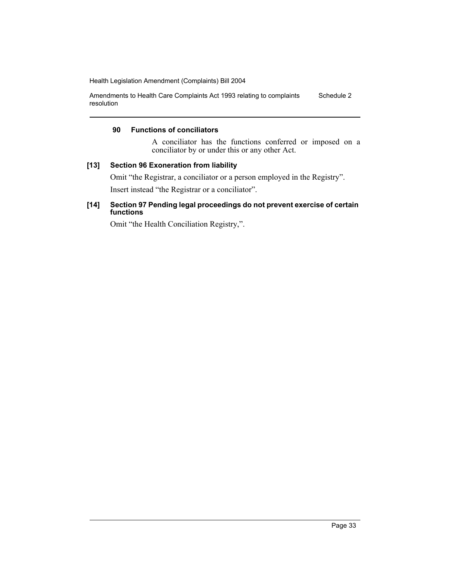Amendments to Health Care Complaints Act 1993 relating to complaints resolution Schedule 2

#### **90 Functions of conciliators**

A conciliator has the functions conferred or imposed on a conciliator by or under this or any other Act.

#### **[13] Section 96 Exoneration from liability**

Omit "the Registrar, a conciliator or a person employed in the Registry".

Insert instead "the Registrar or a conciliator".

#### **[14] Section 97 Pending legal proceedings do not prevent exercise of certain functions**

Omit "the Health Conciliation Registry,".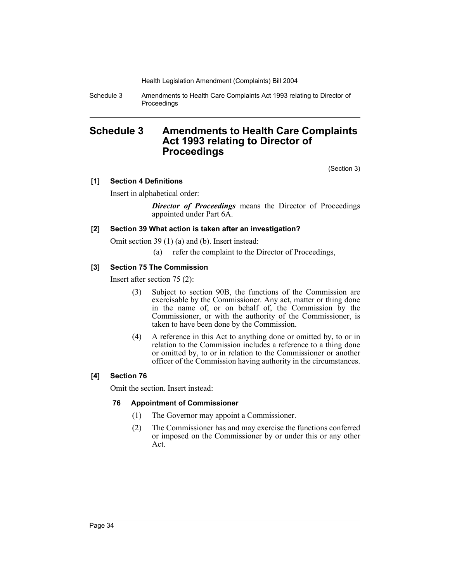Schedule 3 Amendments to Health Care Complaints Act 1993 relating to Director of Proceedings

# **Schedule 3 Amendments to Health Care Complaints Act 1993 relating to Director of Proceedings**

(Section 3)

#### **[1] Section 4 Definitions**

Insert in alphabetical order:

*Director of Proceedings* means the Director of Proceedings appointed under Part 6A.

#### **[2] Section 39 What action is taken after an investigation?**

Omit section 39 (1) (a) and (b). Insert instead:

(a) refer the complaint to the Director of Proceedings,

#### **[3] Section 75 The Commission**

Insert after section 75 (2):

- (3) Subject to section 90B, the functions of the Commission are exercisable by the Commissioner. Any act, matter or thing done in the name of, or on behalf of, the Commission by the Commissioner, or with the authority of the Commissioner, is taken to have been done by the Commission.
- (4) A reference in this Act to anything done or omitted by, to or in relation to the Commission includes a reference to a thing done or omitted by, to or in relation to the Commissioner or another officer of the Commission having authority in the circumstances.

#### **[4] Section 76**

Omit the section. Insert instead:

#### **76 Appointment of Commissioner**

- (1) The Governor may appoint a Commissioner.
- (2) The Commissioner has and may exercise the functions conferred or imposed on the Commissioner by or under this or any other Act.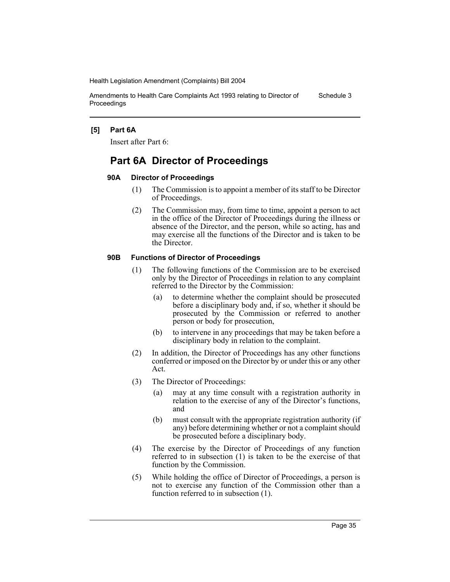Amendments to Health Care Complaints Act 1993 relating to Director of Proceedings Schedule 3

#### **[5] Part 6A**

Insert after Part 6:

# **Part 6A Director of Proceedings**

#### **90A Director of Proceedings**

- (1) The Commission is to appoint a member of its staff to be Director of Proceedings.
- (2) The Commission may, from time to time, appoint a person to act in the office of the Director of Proceedings during the illness or absence of the Director, and the person, while so acting, has and may exercise all the functions of the Director and is taken to be the Director.

#### **90B Functions of Director of Proceedings**

- (1) The following functions of the Commission are to be exercised only by the Director of Proceedings in relation to any complaint referred to the Director by the Commission:
	- (a) to determine whether the complaint should be prosecuted before a disciplinary body and, if so, whether it should be prosecuted by the Commission or referred to another person or body for prosecution,
	- (b) to intervene in any proceedings that may be taken before a disciplinary body in relation to the complaint.
- (2) In addition, the Director of Proceedings has any other functions conferred or imposed on the Director by or under this or any other Act.
- (3) The Director of Proceedings:
	- (a) may at any time consult with a registration authority in relation to the exercise of any of the Director's functions, and
	- (b) must consult with the appropriate registration authority (if any) before determining whether or not a complaint should be prosecuted before a disciplinary body.
- (4) The exercise by the Director of Proceedings of any function referred to in subsection (1) is taken to be the exercise of that function by the Commission.
- (5) While holding the office of Director of Proceedings, a person is not to exercise any function of the Commission other than a function referred to in subsection (1).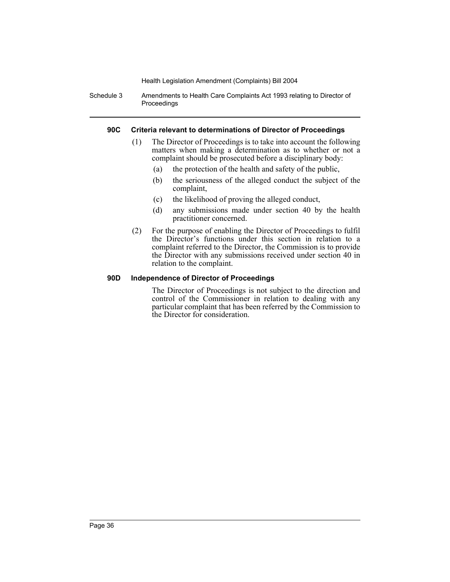Schedule 3 Amendments to Health Care Complaints Act 1993 relating to Director of Proceedings

#### **90C Criteria relevant to determinations of Director of Proceedings**

- (1) The Director of Proceedings is to take into account the following matters when making a determination as to whether or not a complaint should be prosecuted before a disciplinary body:
	- (a) the protection of the health and safety of the public,
	- (b) the seriousness of the alleged conduct the subject of the complaint,
	- (c) the likelihood of proving the alleged conduct,
	- (d) any submissions made under section 40 by the health practitioner concerned.
- (2) For the purpose of enabling the Director of Proceedings to fulfil the Director's functions under this section in relation to a complaint referred to the Director, the Commission is to provide the Director with any submissions received under section 40 in relation to the complaint.

#### **90D Independence of Director of Proceedings**

The Director of Proceedings is not subject to the direction and control of the Commissioner in relation to dealing with any particular complaint that has been referred by the Commission to the Director for consideration.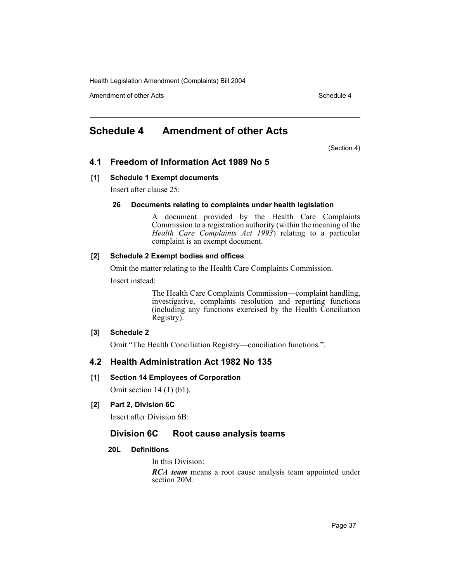Amendment of other Acts **Schedule 4** and the set of the set of the Schedule 4

# **Schedule 4 Amendment of other Acts**

(Section 4)

### **4.1 Freedom of Information Act 1989 No 5**

#### **[1] Schedule 1 Exempt documents**

Insert after clause 25:

#### **26 Documents relating to complaints under health legislation**

A document provided by the Health Care Complaints Commission to a registration authority (within the meaning of the *Health Care Complaints Act 1993*) relating to a particular complaint is an exempt document.

#### **[2] Schedule 2 Exempt bodies and offices**

Omit the matter relating to the Health Care Complaints Commission.

Insert instead:

The Health Care Complaints Commission—complaint handling, investigative, complaints resolution and reporting functions (including any functions exercised by the Health Conciliation Registry).

#### **[3] Schedule 2**

Omit "The Health Conciliation Registry—conciliation functions.".

#### **4.2 Health Administration Act 1982 No 135**

#### **[1] Section 14 Employees of Corporation**

Omit section 14 (1) (b1).

#### **[2] Part 2, Division 6C**

Insert after Division 6B:

#### **Division 6C Root cause analysis teams**

#### **20L Definitions**

In this Division:

*RCA team* means a root cause analysis team appointed under section 20M.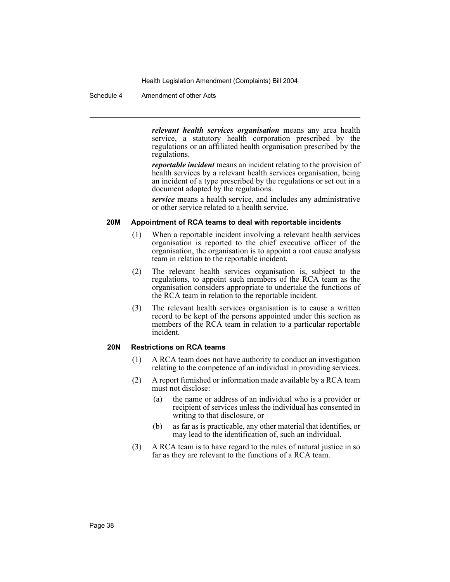Schedule 4 Amendment of other Acts

*relevant health services organisation* means any area health service, a statutory health corporation prescribed by the regulations or an affiliated health organisation prescribed by the regulations.

*reportable incident* means an incident relating to the provision of health services by a relevant health services organisation, being an incident of a type prescribed by the regulations or set out in a document adopted by the regulations.

*service* means a health service, and includes any administrative or other service related to a health service.

#### **20M Appointment of RCA teams to deal with reportable incidents**

- (1) When a reportable incident involving a relevant health services organisation is reported to the chief executive officer of the organisation, the organisation is to appoint a root cause analysis team in relation to the reportable incident.
- (2) The relevant health services organisation is, subject to the regulations, to appoint such members of the RCA team as the organisation considers appropriate to undertake the functions of the RCA team in relation to the reportable incident.
- (3) The relevant health services organisation is to cause a written record to be kept of the persons appointed under this section as members of the RCA team in relation to a particular reportable incident.

#### **20N Restrictions on RCA teams**

- (1) A RCA team does not have authority to conduct an investigation relating to the competence of an individual in providing services.
- (2) A report furnished or information made available by a RCA team must not disclose:
	- (a) the name or address of an individual who is a provider or recipient of services unless the individual has consented in writing to that disclosure, or
	- (b) as far as is practicable, any other material that identifies, or may lead to the identification of, such an individual.
- (3) A RCA team is to have regard to the rules of natural justice in so far as they are relevant to the functions of a RCA team.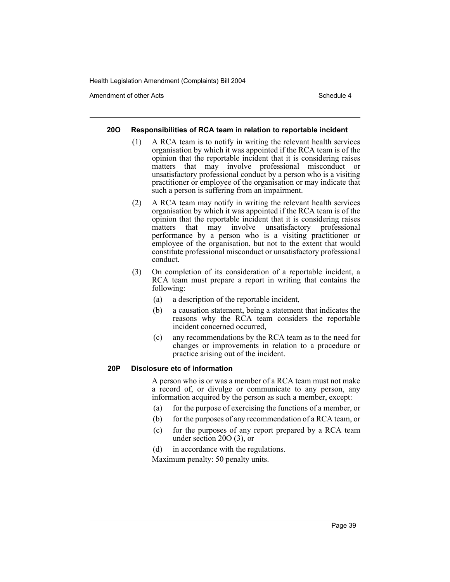Amendment of other Acts **Schedule 4** and the set of the set of the Schedule 4

#### **20O Responsibilities of RCA team in relation to reportable incident**

- (1) A RCA team is to notify in writing the relevant health services organisation by which it was appointed if the RCA team is of the opinion that the reportable incident that it is considering raises matters that may involve professional misconduct or unsatisfactory professional conduct by a person who is a visiting practitioner or employee of the organisation or may indicate that such a person is suffering from an impairment.
- (2) A RCA team may notify in writing the relevant health services organisation by which it was appointed if the RCA team is of the opinion that the reportable incident that it is considering raises matters that may involve unsatisfactory professional performance by a person who is a visiting practitioner or employee of the organisation, but not to the extent that would constitute professional misconduct or unsatisfactory professional conduct.
- (3) On completion of its consideration of a reportable incident, a RCA team must prepare a report in writing that contains the following:
	- (a) a description of the reportable incident,
	- (b) a causation statement, being a statement that indicates the reasons why the RCA team considers the reportable incident concerned occurred,
	- (c) any recommendations by the RCA team as to the need for changes or improvements in relation to a procedure or practice arising out of the incident.

#### **20P Disclosure etc of information**

A person who is or was a member of a RCA team must not make a record of, or divulge or communicate to any person, any information acquired by the person as such a member, except:

- (a) for the purpose of exercising the functions of a member, or
- (b) for the purposes of any recommendation of a RCA team, or
- (c) for the purposes of any report prepared by a RCA team under section 20O (3), or
- (d) in accordance with the regulations.

Maximum penalty: 50 penalty units.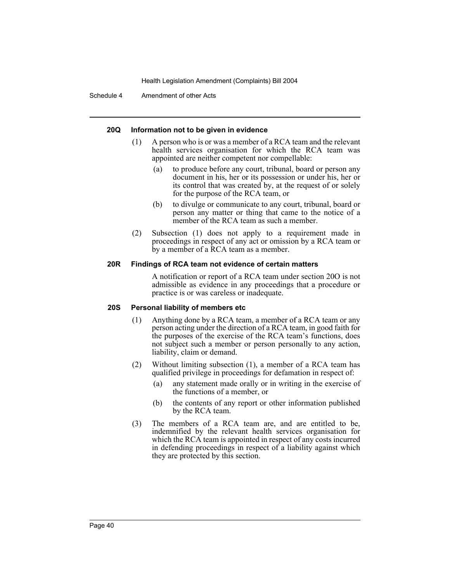Schedule 4 Amendment of other Acts

#### **20Q Information not to be given in evidence**

- (1) A person who is or was a member of a RCA team and the relevant health services organisation for which the RCA team was appointed are neither competent nor compellable:
	- (a) to produce before any court, tribunal, board or person any document in his, her or its possession or under his, her or its control that was created by, at the request of or solely for the purpose of the RCA team, or
	- (b) to divulge or communicate to any court, tribunal, board or person any matter or thing that came to the notice of a member of the RCA team as such a member.
- (2) Subsection (1) does not apply to a requirement made in proceedings in respect of any act or omission by a RCA team or by a member of a RCA team as a member.

#### **20R Findings of RCA team not evidence of certain matters**

A notification or report of a RCA team under section 20O is not admissible as evidence in any proceedings that a procedure or practice is or was careless or inadequate.

#### **20S Personal liability of members etc**

- (1) Anything done by a RCA team, a member of a RCA team or any person acting under the direction of a RCA team, in good faith for the purposes of the exercise of the RCA team's functions, does not subject such a member or person personally to any action, liability, claim or demand.
- (2) Without limiting subsection (1), a member of a RCA team has qualified privilege in proceedings for defamation in respect of:
	- (a) any statement made orally or in writing in the exercise of the functions of a member, or
	- (b) the contents of any report or other information published by the RCA team.
- (3) The members of a RCA team are, and are entitled to be, indemnified by the relevant health services organisation for which the RCA team is appointed in respect of any costs incurred in defending proceedings in respect of a liability against which they are protected by this section.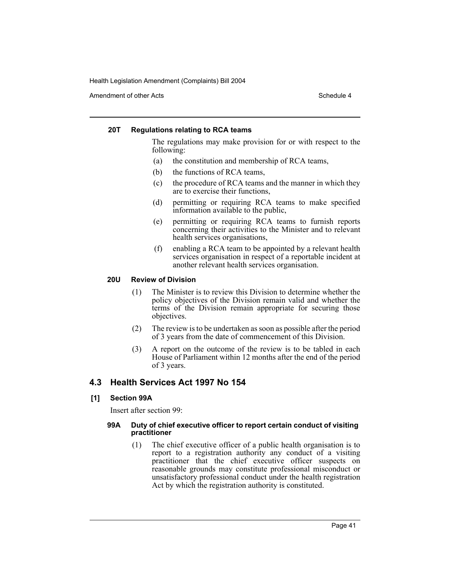Amendment of other Acts **Schedule 4** and the set of the set of the set of the set of the set of the set of the set of the set of the set of the set of the set of the set of the set of the set of the set of the set of the s

#### **20T Regulations relating to RCA teams**

The regulations may make provision for or with respect to the following:

- (a) the constitution and membership of RCA teams,
- (b) the functions of RCA teams,
- (c) the procedure of RCA teams and the manner in which they are to exercise their functions,
- (d) permitting or requiring RCA teams to make specified information available to the public,
- (e) permitting or requiring RCA teams to furnish reports concerning their activities to the Minister and to relevant health services organisations,
- (f) enabling a RCA team to be appointed by a relevant health services organisation in respect of a reportable incident at another relevant health services organisation.

#### **20U Review of Division**

- (1) The Minister is to review this Division to determine whether the policy objectives of the Division remain valid and whether the terms of the Division remain appropriate for securing those objectives.
- (2) The review is to be undertaken as soon as possible after the period of 3 years from the date of commencement of this Division.
- (3) A report on the outcome of the review is to be tabled in each House of Parliament within 12 months after the end of the period of 3 years.

#### **4.3 Health Services Act 1997 No 154**

**[1] Section 99A**

Insert after section 99:

#### **99A Duty of chief executive officer to report certain conduct of visiting practitioner**

(1) The chief executive officer of a public health organisation is to report to a registration authority any conduct of a visiting practitioner that the chief executive officer suspects on reasonable grounds may constitute professional misconduct or unsatisfactory professional conduct under the health registration Act by which the registration authority is constituted.